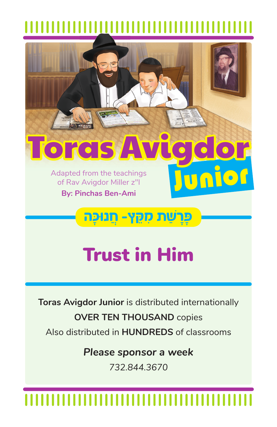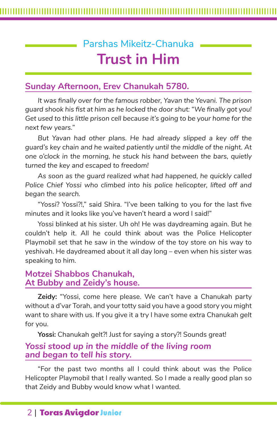# Parshas Mikeitz-Chanuka **Trust in Him**

# **Sunday Afternoon, Erev Chanukah 5780.**

*It was finally over for the famous robber, Yavan the Yevani. The prison guard shook his fist at him as he locked the door shut: "We finally got you! Get used to this little prison cell because it's going to be your home for the next few years."*

*But Yavan had other plans. He had already slipped a key off the guard's key chain and he waited patiently until the middle of the night. At one o'clock in the morning, he stuck his hand between the bars, quietly turned the key and escaped to freedom!* 

*As soon as the guard realized what had happened, he quickly called Police Chief Yossi who climbed into his police helicopter, lifted off and began the search.* 

"Yossi? Yossi?!," said Shira. "I've been talking to you for the last five minutes and it looks like you've haven't heard a word I said!"

Yossi blinked at his sister. Uh oh! He was daydreaming again. But he couldn't help it. All he could think about was the Police Helicopter Playmobil set that he saw in the window of the toy store on his way to yeshivah. He daydreamed about it all day long – even when his sister was speaking to him.

### **Motzei Shabbos Chanukah, At Bubby and Zeidy's house.**

**Zeidy:** "Yossi, come here please. We can't have a Chanukah party without a d'var Torah, and your totty said you have a good story you might want to share with us. If you give it a try I have some extra Chanukah *gelt* for you.

Yossi: Chanukah gelt?! Just for saying a story?! Sounds great!

### *Yossi stood up in the middle of the living room and began to tell his story.*

"For the past two months all I could think about was the Police Helicopter Playmobil that I really wanted. So I made a really good plan so that Zeidy and Bubby would know what I wanted.

## 2 | Toras Avigdor Junior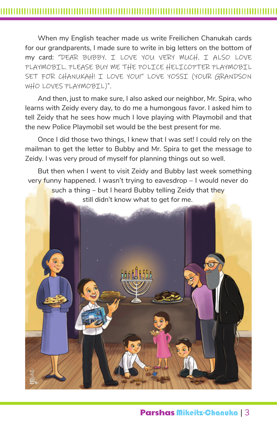When my English teacher made us write Freilichen Chanukah cards for our grandparents, I made sure to write in big letters on the bottom of my card: "DEAR BUBBY. I LOVE YOU VERY MUCH. I ALSO LOVE PLAYMOBIL. PLEASE BUY ME THE POLICE HELICOPTER PLAYMOBIL SET FOR CHANUKAH! I LOVE YOU!" LOVE YOSSI (YOUR GRANDSON WHO LOVES PLAYMOBIL)".

And then, just to make sure, I also asked our neighbor, Mr. Spira, who learns with Zeidy every day, to do me a humongous favor. I asked him to tell Zeidy that he sees how much I love playing with Playmobil and that the new Police Playmobil set would be the best present for me.

Once I did those two things, I knew that I was set! I could rely on the mailman to get the letter to Bubby and Mr. Spira to get the message to Zeidy. I was very proud of myself for planning things out so well.

But then when I went to visit Zeidy and Bubby last week something very funny happened. I wasn't trying to eavesdrop – I would never do such a thing – but I heard Bubby telling Zeidy that they still didn't know what to get for me.